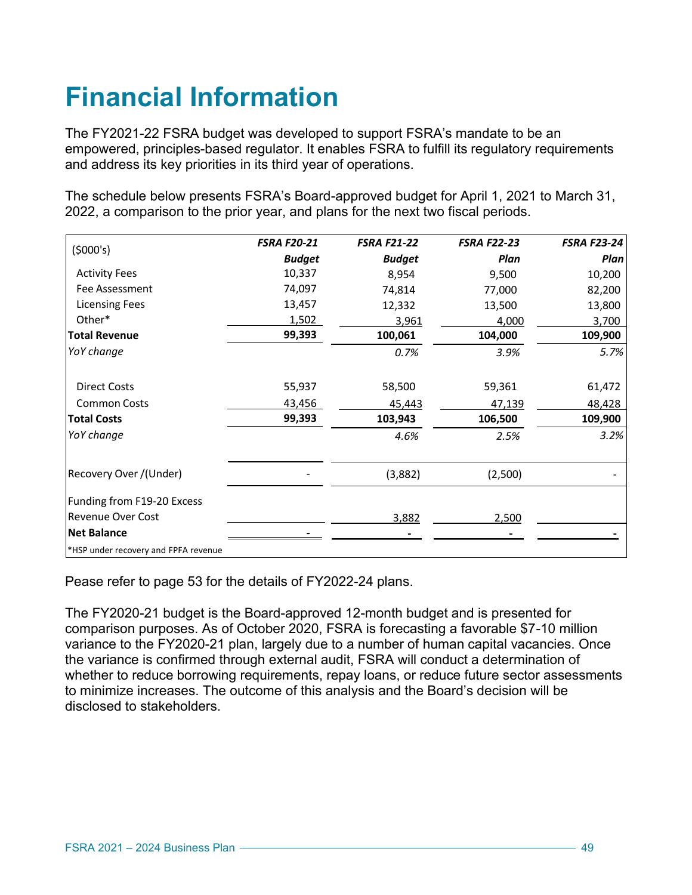# **Financial Information**

The FY2021-22 FSRA budget was developed to support FSRA's mandate to be an empowered, principles-based regulator. It enables FSRA to fulfill its regulatory requirements and address its key priorities in its third year of operations.

The schedule below presents FSRA's Board-approved budget for April 1, 2021 to March 31, 2022, a comparison to the prior year, and plans for the next two fiscal periods.

| (5000's)                             | <b>FSRA F20-21</b> | <b>FSRA F21-22</b> | <b>FSRA F22-23</b> | <b>FSRA F23-24</b> |
|--------------------------------------|--------------------|--------------------|--------------------|--------------------|
|                                      | <b>Budget</b>      | <b>Budget</b>      | Plan               | Plan               |
| <b>Activity Fees</b>                 | 10,337             | 8,954              | 9,500              | 10,200             |
| Fee Assessment                       | 74,097             | 74,814             | 77,000             | 82,200             |
| <b>Licensing Fees</b>                | 13,457             | 12,332             | 13,500             | 13,800             |
| Other*                               | 1,502              | 3,961              | 4,000              | 3,700              |
| <b>Total Revenue</b>                 | 99,393             | 100,061            | 104,000            | 109,900            |
| YoY change                           |                    | 0.7%               | 3.9%               | 5.7%               |
| <b>Direct Costs</b>                  | 55,937             | 58,500             | 59,361             | 61,472             |
| <b>Common Costs</b>                  | 43,456             | 45,443             | 47,139             | 48,428             |
| <b>Total Costs</b>                   | 99,393             | 103,943            | 106,500            | 109,900            |
| YoY change                           |                    | 4.6%               | 2.5%               | 3.2%               |
| Recovery Over /(Under)               |                    | (3,882)            | (2,500)            |                    |
| Funding from F19-20 Excess           |                    |                    |                    |                    |
| <b>Revenue Over Cost</b>             |                    | 3,882              | 2,500              |                    |
| <b>Net Balance</b>                   |                    |                    |                    |                    |
| *HSP under recovery and FPFA revenue |                    |                    |                    |                    |

Pease refer to page 53 for the details of FY2022-24 plans.

The FY2020-21 budget is the Board-approved 12-month budget and is presented for comparison purposes. As of October 2020, FSRA is forecasting a favorable \$7-10 million variance to the FY2020-21 plan, largely due to a number of human capital vacancies. Once the variance is confirmed through external audit, FSRA will conduct a determination of whether to reduce borrowing requirements, repay loans, or reduce future sector assessments to minimize increases. The outcome of this analysis and the Board's decision will be disclosed to stakeholders.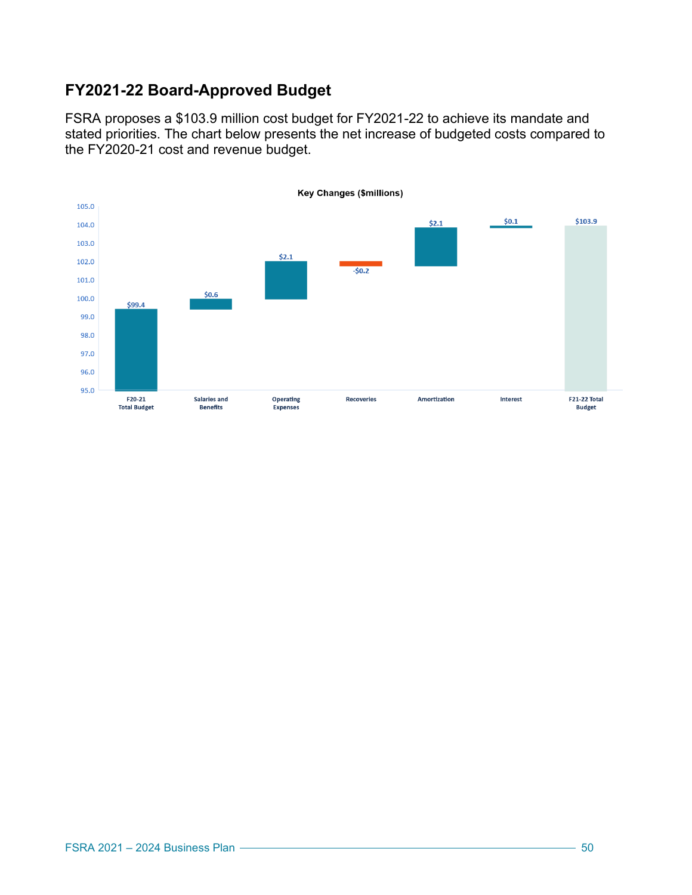### **FY2021-22 Board-Approved Budget**

FSRA proposes a \$103.9 million cost budget for FY2021-22 to achieve its mandate and stated priorities. The chart below presents the net increase of budgeted costs compared to the FY2020-21 cost and revenue budget.

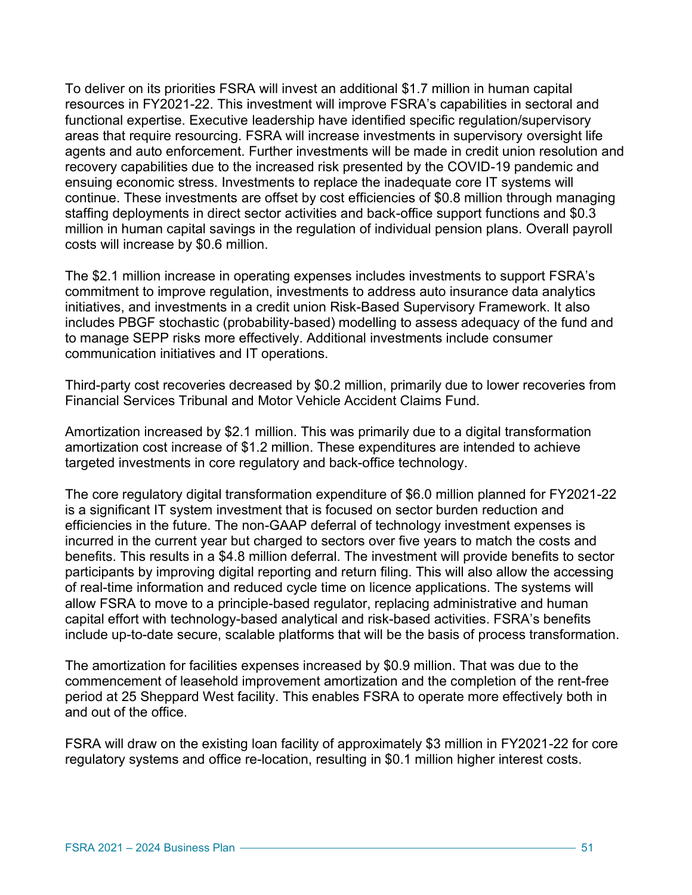To deliver on its priorities FSRA will invest an additional \$1.7 million in human capital resources in FY2021-22. This investment will improve FSRA's capabilities in sectoral and functional expertise. Executive leadership have identified specific regulation/supervisory areas that require resourcing. FSRA will increase investments in supervisory oversight life agents and auto enforcement. Further investments will be made in credit union resolution and recovery capabilities due to the increased risk presented by the COVID-19 pandemic and ensuing economic stress. Investments to replace the inadequate core IT systems will continue. These investments are offset by cost efficiencies of \$0.8 million through managing staffing deployments in direct sector activities and back-office support functions and \$0.3 million in human capital savings in the regulation of individual pension plans. Overall payroll costs will increase by \$0.6 million.

The \$2.1 million increase in operating expenses includes investments to support FSRA's commitment to improve regulation, investments to address auto insurance data analytics initiatives, and investments in a credit union Risk-Based Supervisory Framework. It also includes PBGF stochastic (probability-based) modelling to assess adequacy of the fund and to manage SEPP risks more effectively. Additional investments include consumer communication initiatives and IT operations.

Third-party cost recoveries decreased by \$0.2 million, primarily due to lower recoveries from Financial Services Tribunal and Motor Vehicle Accident Claims Fund.

Amortization increased by \$2.1 million. This was primarily due to a digital transformation amortization cost increase of \$1.2 million. These expenditures are intended to achieve targeted investments in core regulatory and back-office technology.

The core regulatory digital transformation expenditure of \$6.0 million planned for FY2021-22 is a significant IT system investment that is focused on sector burden reduction and efficiencies in the future. The non-GAAP deferral of technology investment expenses is incurred in the current year but charged to sectors over five years to match the costs and benefits. This results in a \$4.8 million deferral. The investment will provide benefits to sector participants by improving digital reporting and return filing. This will also allow the accessing of real-time information and reduced cycle time on licence applications. The systems will allow FSRA to move to a principle-based regulator, replacing administrative and human capital effort with technology-based analytical and risk-based activities. FSRA's benefits include up-to-date secure, scalable platforms that will be the basis of process transformation.

The amortization for facilities expenses increased by \$0.9 million. That was due to the commencement of leasehold improvement amortization and the completion of the rent-free period at 25 Sheppard West facility. This enables FSRA to operate more effectively both in and out of the office.

FSRA will draw on the existing loan facility of approximately \$3 million in FY2021-22 for core regulatory systems and office re-location, resulting in \$0.1 million higher interest costs.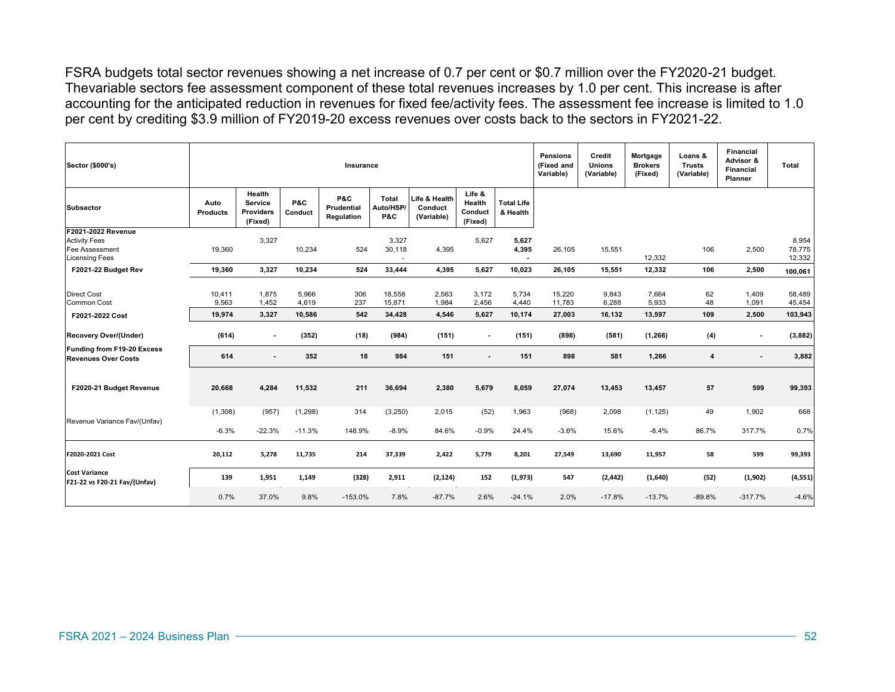FSRA budgets total sector revenues showing a net increase of 0.7 per cent or \$0.7 million over the FY2020-21 budget. Thevariable sectors fee assessment component of these total revenues increases by 1.0 per cent. This increase is after accounting for the anticipated reduction in revenues for fixed fee/activity fees. The assessment fee increase is limited to 1.0 per cent by crediting \$3.9 million of FY2019-20 excess revenues over costs back to the sectors in FY2021-22.

| Sector (\$000's)                                                                      | Insurance               |                                                  |                |                                 |                                             | Pensions<br>(Fixed and<br>Variable)    | Credit<br><b>Unions</b><br>(Variable)  | Mortgage<br><b>Brokers</b><br>(Fixed) | Loans &<br><b>Trusts</b><br>(Variable) | <b>Financial</b><br>Advisor &<br><b>Financial</b><br>Planner | Total          |          |                |                           |
|---------------------------------------------------------------------------------------|-------------------------|--------------------------------------------------|----------------|---------------------------------|---------------------------------------------|----------------------------------------|----------------------------------------|---------------------------------------|----------------------------------------|--------------------------------------------------------------|----------------|----------|----------------|---------------------------|
| <b>Subsector</b>                                                                      | Auto<br><b>Products</b> | Health<br>Service<br><b>Providers</b><br>(Fixed) | P&C<br>Conduct | P&C<br>Prudential<br>Regulation | <b>Total</b><br>Auto/HSP/<br><b>P&amp;C</b> | Life & Health<br>Conduct<br>(Variable) | Life &<br>Health<br>Conduct<br>(Fixed) | <b>Total Life</b><br>& Health         |                                        |                                                              |                |          |                |                           |
| F2021-2022 Revenue<br><b>Activity Fees</b><br>Fee Assessment<br><b>Licensing Fees</b> | 19.360                  | 3,327                                            | 10,234         | 524                             | 3,327<br>30,118                             | 4,395                                  | 5,627                                  | 5,627<br>4,395                        | 26,105                                 | 15,551                                                       | 12,332         | 106      | 2,500          | 8,954<br>78,775<br>12,332 |
| F2021-22 Budget Rev                                                                   | 19,360                  | 3,327                                            | 10,234         | 524                             | 33,444                                      | 4,395                                  | 5,627                                  | 10,023                                | 26,105                                 | 15,551                                                       | 12,332         | 106      | 2,500          | 100,061                   |
| <b>Direct Cost</b><br><b>Common Cost</b>                                              | 10,411<br>9,563         | 1,875<br>1,452                                   | 5,966<br>4,619 | 306<br>237                      | 18,558<br>15,871                            | 2,563<br>1,984                         | 3,172<br>2,456                         | 5,734<br>4,440                        | 15,220<br>11,783                       | 9,843<br>6,288                                               | 7,664<br>5,933 | 62<br>48 | 1,409<br>1,091 | 58,489<br>45,454          |
| F2021-2022 Cost                                                                       | 19,974                  | 3,327                                            | 10,586         | 542                             | 34,428                                      | 4,546                                  | 5,627                                  | 10,174                                | 27,003                                 | 16,132                                                       | 13,597         | 109      | 2,500          | 103,943                   |
| Recovery Over/(Under)                                                                 | (614)                   | $\blacksquare$                                   | (352)          | (18)                            | (984)                                       | (151)                                  | $\blacksquare$                         | (151)                                 | (898)                                  | (581)                                                        | (1, 266)       | (4)      | $\blacksquare$ | (3,882)                   |
| Funding from F19-20 Excess<br><b>Revenues Over Costs</b>                              | 614                     |                                                  | 352            | 18                              | 984                                         | 151                                    | $\overline{a}$                         | 151                                   | 898                                    | 581                                                          | 1,266          | 4        |                | 3,882                     |
| F2020-21 Budget Revenue                                                               | 20,668                  | 4,284                                            | 11,532         | 211                             | 36,694                                      | 2,380                                  | 5,679                                  | 8,059                                 | 27,074                                 | 13,453                                                       | 13,457         | 57       | 599            | 99,393                    |
|                                                                                       | (1,308)                 | (957)                                            | (1,298)        | 314                             | (3,250)                                     | 2,015                                  | (52)                                   | 1,963                                 | (968)                                  | 2,098                                                        | (1, 125)       | 49       | 1,902          | 668                       |
| Revenue Variance Fav/(Unfav)                                                          | $-6.3%$                 | $-22.3%$                                         | $-11.3%$       | 148.9%                          | $-8.9%$                                     | 84.6%                                  | $-0.9%$                                | 24.4%                                 | $-3.6%$                                | 15.6%                                                        | $-8.4%$        | 86.7%    | 317.7%         | 0.7%                      |
| F2020-2021 Cost                                                                       | 20,112                  | 5,278                                            | 11,735         | 214                             | 37,339                                      | 2,422                                  | 5,779                                  | 8,201                                 | 27,549                                 | 13,690                                                       | 11,957         | 58       | 599            | 99,393                    |
| <b>Cost Variance</b><br>F21-22 vs F20-21 Fav/(Unfav)                                  | 139                     | 1,951                                            | 1,149          | (328)                           | 2,911                                       | (2, 124)                               | 152                                    | (1,973)                               | 547                                    | (2, 442)                                                     | (1,640)        | (52)     | (1,902)        | (4, 551)                  |
|                                                                                       | 0.7%                    | 37.0%                                            | 9.8%           | $-153.0%$                       | 7.8%                                        | $-87.7%$                               | 2.6%                                   | $-24.1%$                              | 2.0%                                   | $-17.8%$                                                     | $-13.7%$       | $-89.8%$ | $-317.7%$      | $-4.6%$                   |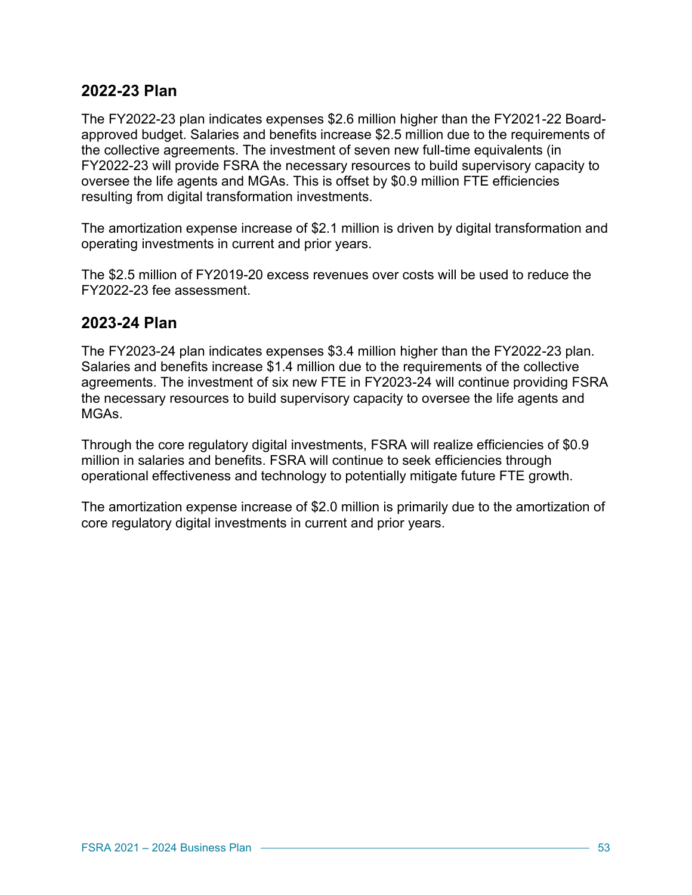#### **2022-23 Plan**

The FY2022-23 plan indicates expenses \$2.6 million higher than the FY2021-22 Boardapproved budget. Salaries and benefits increase \$2.5 million due to the requirements of the collective agreements. The investment of seven new full-time equivalents (in FY2022-23 will provide FSRA the necessary resources to build supervisory capacity to oversee the life agents and MGAs. This is offset by \$0.9 million FTE efficiencies resulting from digital transformation investments.

The amortization expense increase of \$2.1 million is driven by digital transformation and operating investments in current and prior years.

The \$2.5 million of FY2019-20 excess revenues over costs will be used to reduce the FY2022-23 fee assessment.

#### **2023-24 Plan**

The FY2023-24 plan indicates expenses \$3.4 million higher than the FY2022-23 plan. Salaries and benefits increase \$1.4 million due to the requirements of the collective agreements. The investment of six new FTE in FY2023-24 will continue providing FSRA the necessary resources to build supervisory capacity to oversee the life agents and MGAs.

Through the core regulatory digital investments, FSRA will realize efficiencies of \$0.9 million in salaries and benefits. FSRA will continue to seek efficiencies through operational effectiveness and technology to potentially mitigate future FTE growth.

The amortization expense increase of \$2.0 million is primarily due to the amortization of core regulatory digital investments in current and prior years.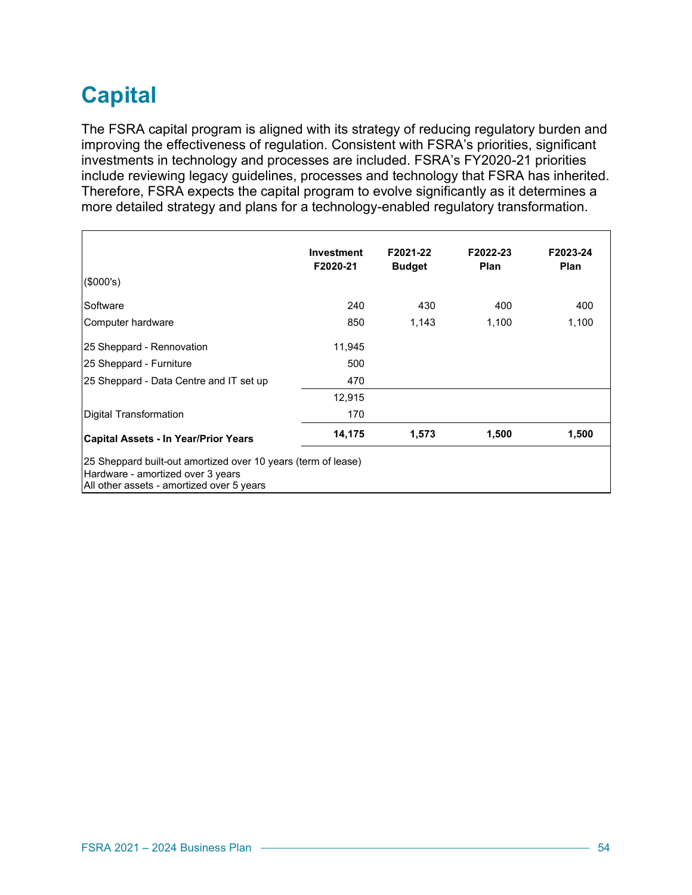## **Capital**

The FSRA capital program is aligned with its strategy of reducing regulatory burden and improving the effectiveness of regulation. Consistent with FSRA's priorities, significant investments in technology and processes are included. FSRA's FY2020-21 priorities include reviewing legacy guidelines, processes and technology that FSRA has inherited. Therefore, FSRA expects the capital program to evolve significantly as it determines a more detailed strategy and plans for a technology-enabled regulatory transformation.

|                                                                                                                                                 | Investment<br>F2020-21 | F2021-22<br><b>Budget</b> | F2022-23<br><b>Plan</b> | F2023-24<br>Plan |
|-------------------------------------------------------------------------------------------------------------------------------------------------|------------------------|---------------------------|-------------------------|------------------|
| (\$000's)                                                                                                                                       |                        |                           |                         |                  |
| Software                                                                                                                                        | 240                    | 430                       | 400                     | 400              |
| Computer hardware                                                                                                                               | 850                    | 1,143                     | 1,100                   | 1,100            |
| 25 Sheppard - Rennovation                                                                                                                       | 11,945                 |                           |                         |                  |
| 25 Sheppard - Furniture                                                                                                                         | 500                    |                           |                         |                  |
| 25 Sheppard - Data Centre and IT set up                                                                                                         | 470                    |                           |                         |                  |
|                                                                                                                                                 | 12,915                 |                           |                         |                  |
| Digital Transformation                                                                                                                          | 170                    |                           |                         |                  |
| <b>Capital Assets - In Year/Prior Years</b>                                                                                                     | 14,175                 | 1,573                     | 1,500                   | 1,500            |
| 25 Sheppard built-out amortized over 10 years (term of lease)<br>Hardware - amortized over 3 years<br>All other assets - amortized over 5 years |                        |                           |                         |                  |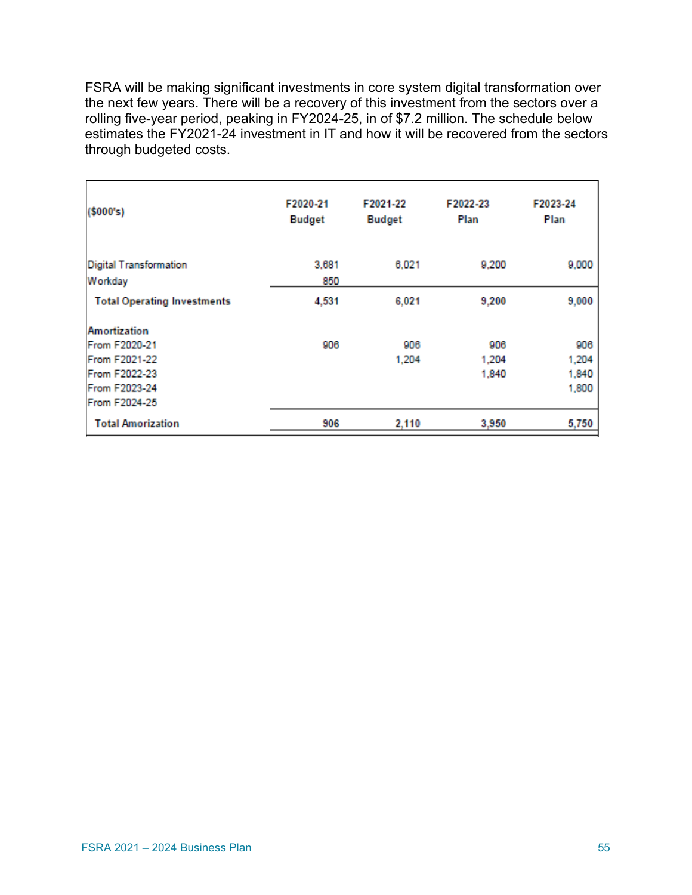FSRA will be making significant investments in core system digital transformation over the next few years. There will be a recovery of this investment from the sectors over a rolling five-year period, peaking in FY2024-25, in of \$7.2 million. The schedule below estimates the FY2021-24 investment in IT and how it will be recovered from the sectors through budgeted costs.

| (\$000's)                                                                        | F2020-21<br><b>Budget</b> | F2021-22<br><b>Budget</b> | F2022-23<br>Plan      | F2023-24<br>Plan               |
|----------------------------------------------------------------------------------|---------------------------|---------------------------|-----------------------|--------------------------------|
| <b>Digital Transformation</b><br>Workday                                         | 3,681<br>850              | 6,021                     | 9,200                 | 9,000                          |
| <b>Total Operating Investments</b>                                               | 4,531                     | 6,021                     | 9,200                 | 9,000                          |
| Amortization<br>From F2020-21<br>From F2021-22<br>From F2022-23<br>From F2023-24 | 906                       | 906<br>1,204              | 906<br>1.204<br>1,840 | 906<br>1,204<br>1,840<br>1,800 |
| From F2024-25<br><b>Total Amorization</b>                                        | 906                       | 2,110                     | 3,950                 | 5,750                          |